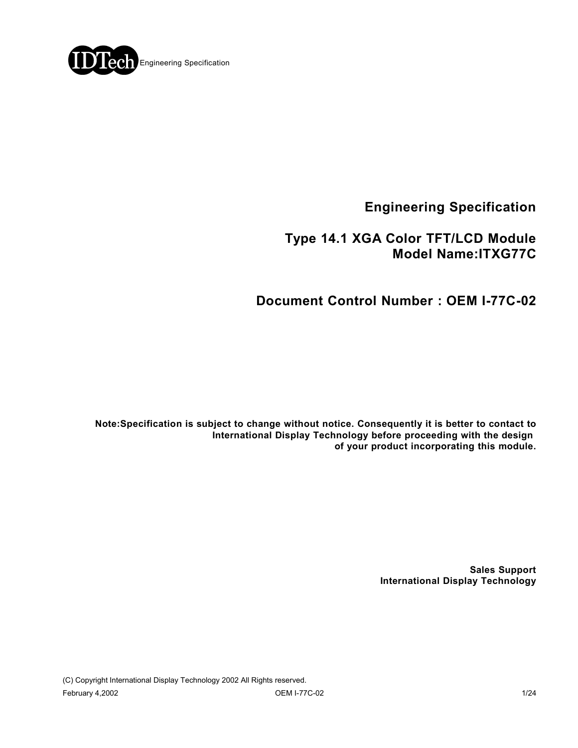

**Engineering Specification**

## **Type 14.1 XGA Color TFT/LCD Module Model Name:ITXG77C**

# **Document Control Number : OEM I-77C-02**

**Note:Specification is subject to change without notice. Consequently it is better to contact to International Display Technology before proceeding with the design of your product incorporating this module.**

> **Sales Support International Display Technology**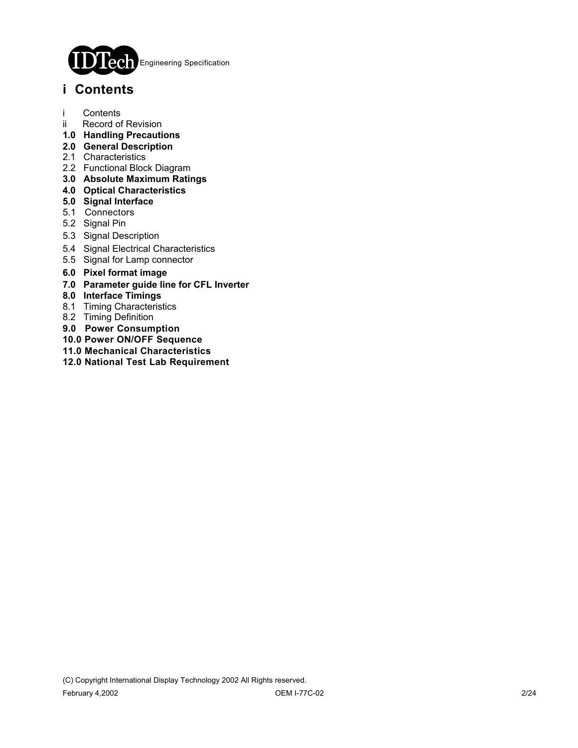

## **i Contents**

- i Contents
- ii Record of Revision
- **1.0 Handling Precautions**
- **2.0 General Description**
- 2.1 Characteristics
- 2.2 Functional Block Diagram
- **3.0 Absolute Maximum Ratings**
- **4.0 Optical Characteristics**
- **5.0 Signal Interface**
- 5.1 Connectors
- 5.2 Signal Pin
- 5.3 Signal Description
- 5.4 Signal Electrical Characteristics
- 5.5 Signal for Lamp connector
- **6.0 Pixel format image**
- **7.0 Parameter guide line for CFL Inverter**
- **8.0 Interface Timings**
- 8.1 Timing Characteristics
- 8.2 Timing Definition
- **9.0 Power Consumption**
- **10.0 Power ON/OFF Sequence**
- **11.0 Mechanical Characteristics**
- **12.0 National Test Lab Requirement**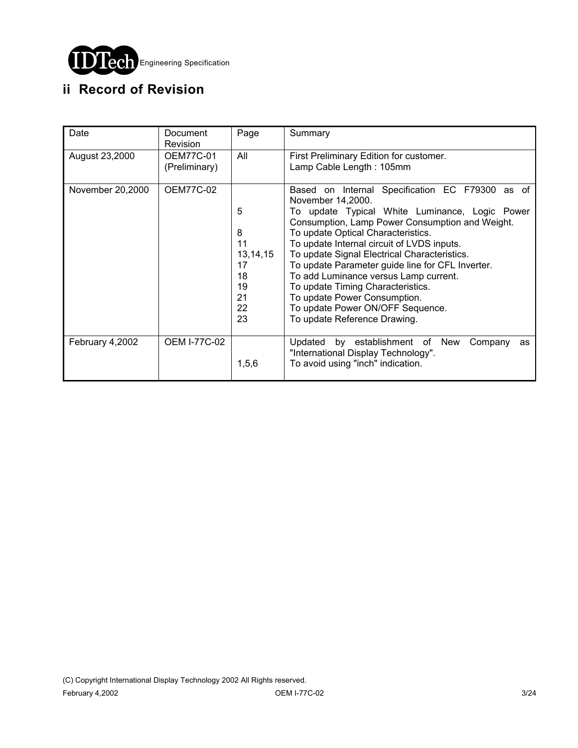

# **ii Record of Revision**

| Date             | Document<br><b>Revision</b>       | Page                                                           | Summary                                                                                                                                                                                                                                                                                                                                                                                                                                                                                                                                             |
|------------------|-----------------------------------|----------------------------------------------------------------|-----------------------------------------------------------------------------------------------------------------------------------------------------------------------------------------------------------------------------------------------------------------------------------------------------------------------------------------------------------------------------------------------------------------------------------------------------------------------------------------------------------------------------------------------------|
| August 23,2000   | <b>OEM77C-01</b><br>(Preliminary) | All                                                            | First Preliminary Edition for customer.<br>Lamp Cable Length: 105mm                                                                                                                                                                                                                                                                                                                                                                                                                                                                                 |
| November 20,2000 | <b>OEM77C-02</b>                  | 5<br>8<br>11<br>13, 14, 15<br>17<br>18<br>19<br>21<br>22<br>23 | Based on Internal Specification EC F79300 as of<br>November 14,2000.<br>To update Typical White Luminance, Logic Power<br>Consumption, Lamp Power Consumption and Weight.<br>To update Optical Characteristics.<br>To update Internal circuit of LVDS inputs.<br>To update Signal Electrical Characteristics.<br>To update Parameter guide line for CFL Inverter.<br>To add Luminance versus Lamp current.<br>To update Timing Characteristics.<br>To update Power Consumption.<br>To update Power ON/OFF Sequence.<br>To update Reference Drawing. |
| February 4,2002  | <b>OEM I-77C-02</b>               | 1, 5, 6                                                        | Updated by establishment of New<br>Company<br>as<br>"International Display Technology".<br>To avoid using "inch" indication.                                                                                                                                                                                                                                                                                                                                                                                                                        |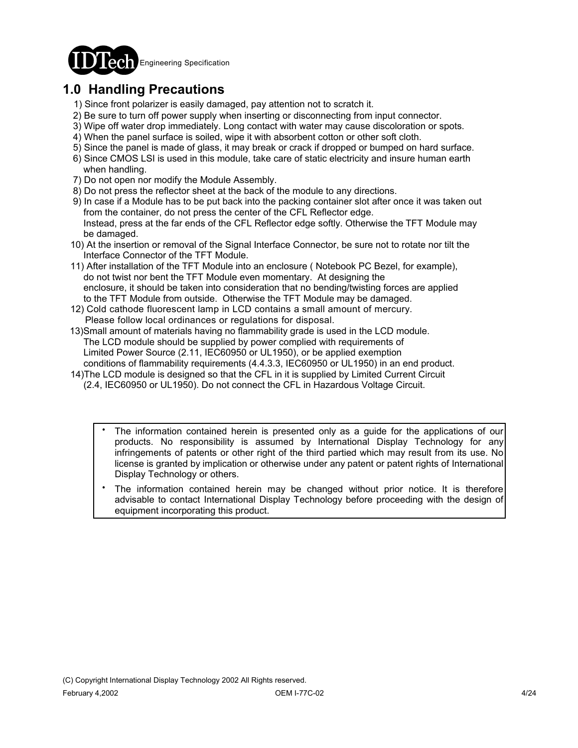

# **1.0 Handling Precautions**

- 1) Since front polarizer is easily damaged, pay attention not to scratch it.
- 2) Be sure to turn off power supply when inserting or disconnecting from input connector.
- 3) Wipe off water drop immediately. Long contact with water may cause discoloration or spots.
- 4) When the panel surface is soiled, wipe it with absorbent cotton or other soft cloth.
- 5) Since the panel is made of glass, it may break or crack if dropped or bumped on hard surface.
- 6) Since CMOS LSI is used in this module, take care of static electricity and insure human earth when handling.
- 7) Do not open nor modify the Module Assembly.
- 8) Do not press the reflector sheet at the back of the module to any directions.
- 9) In case if a Module has to be put back into the packing container slot after once it was taken out from the container, do not press the center of the CFL Reflector edge. Instead, press at the far ends of the CFL Reflector edge softly. Otherwise the TFT Module may be damaged.
- 10) At the insertion or removal of the Signal Interface Connector, be sure not to rotate nor tilt the Interface Connector of the TFT Module.
- 11) After installation of the TFT Module into an enclosure ( Notebook PC Bezel, for example), do not twist nor bent the TFT Module even momentary. At designing the enclosure, it should be taken into consideration that no bending/twisting forces are applied to the TFT Module from outside. Otherwise the TFT Module may be damaged.
- 12) Cold cathode fluorescent lamp in LCD contains a small amount of mercury. Please follow local ordinances or regulations for disposal.
- 13)Small amount of materials having no flammability grade is used in the LCD module. The LCD module should be supplied by power complied with requirements of Limited Power Source (2.11, IEC60950 or UL1950), or be applied exemption conditions of flammability requirements (4.4.3.3, IEC60950 or UL1950) in an end product.
- 14)The LCD module is designed so that the CFL in it is supplied by Limited Current Circuit (2.4, IEC60950 or UL1950). Do not connect the CFL in Hazardous Voltage Circuit.
	- The information contained herein is presented only as a guide for the applications of our products. No responsibility is assumed by International Display Technology for any infringements of patents or other right of the third partied which may result from its use. No license is granted by implication or otherwise under any patent or patent rights of International Display Technology or others. .
	- The information contained herein may be changed without prior notice. It is therefore advisable to contact International Display Technology before proceeding with the design of equipment incorporating this product. .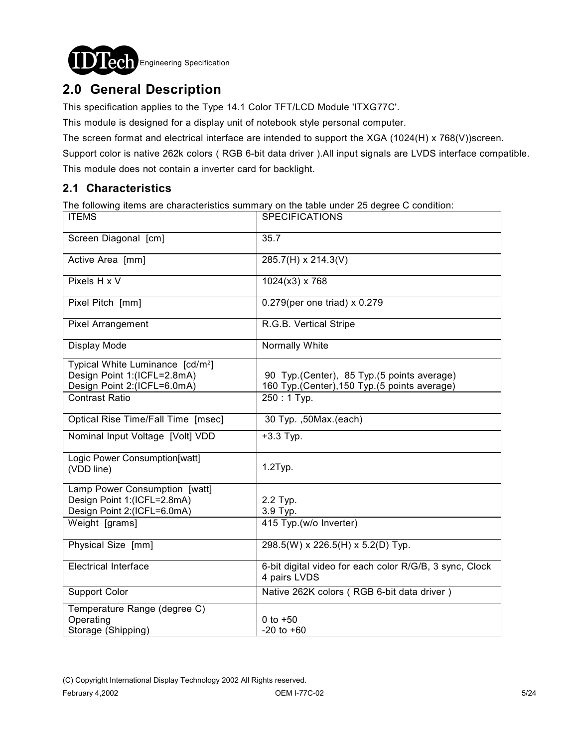

# **2.0 General Description**

This specification applies to the Type 14.1 Color TFT/LCD Module 'ITXG77C'.

This module is designed for a display unit of notebook style personal computer.

The screen format and electrical interface are intended to support the XGA (1024(H) x 768(V))screen.

Support color is native 262k colors ( RGB 6-bit data driver ).All input signals are LVDS interface compatible.

This module does not contain a inverter card for backlight.

### **2.1 Characteristics**

The following items are characteristics summary on the table under 25 degree C condition:

| <b>ITEMS</b>                                                                                               | <b>SPECIFICATIONS</b>                                                                        |
|------------------------------------------------------------------------------------------------------------|----------------------------------------------------------------------------------------------|
| Screen Diagonal [cm]                                                                                       | 35.7                                                                                         |
| Active Area [mm]                                                                                           | 285.7(H) x 214.3(V)                                                                          |
| Pixels H x V                                                                                               | $1024(x3)$ x 768                                                                             |
| Pixel Pitch [mm]                                                                                           | 0.279(per one triad) x 0.279                                                                 |
| <b>Pixel Arrangement</b>                                                                                   | R.G.B. Vertical Stripe                                                                       |
| Display Mode                                                                                               | Normally White                                                                               |
| Typical White Luminance [cd/m <sup>2</sup> ]<br>Design Point 1:(ICFL=2.8mA)<br>Design Point 2:(ICFL=6.0mA) | 90 Typ. (Center), 85 Typ. (5 points average)<br>160 Typ.(Center), 150 Typ.(5 points average) |
| <b>Contrast Ratio</b>                                                                                      | $250:1$ Typ.                                                                                 |
| Optical Rise Time/Fall Time [msec]                                                                         | 30 Typ. ,50Max.(each)                                                                        |
| Nominal Input Voltage [Volt] VDD                                                                           | $+3.3$ Typ.                                                                                  |
| Logic Power Consumption[watt]<br>(VDD line)                                                                | $1.2$ Typ.                                                                                   |
| Lamp Power Consumption [watt]                                                                              |                                                                                              |
| Design Point 1:(ICFL=2.8mA)<br>Design Point 2:(ICFL=6.0mA)                                                 | 2.2 Typ.<br>3.9 Typ.                                                                         |
| Weight [grams]                                                                                             | 415 Typ.(w/o Inverter)                                                                       |
| Physical Size [mm]                                                                                         | 298.5(W) x 226.5(H) x 5.2(D) Typ.                                                            |
| <b>Electrical Interface</b>                                                                                | 6-bit digital video for each color R/G/B, 3 sync, Clock<br>4 pairs LVDS                      |
| <b>Support Color</b>                                                                                       | Native 262K colors (RGB 6-bit data driver)                                                   |
| Temperature Range (degree C)                                                                               |                                                                                              |
| Operating<br>Storage (Shipping)                                                                            | 0 to $+50$<br>$-20$ to $+60$                                                                 |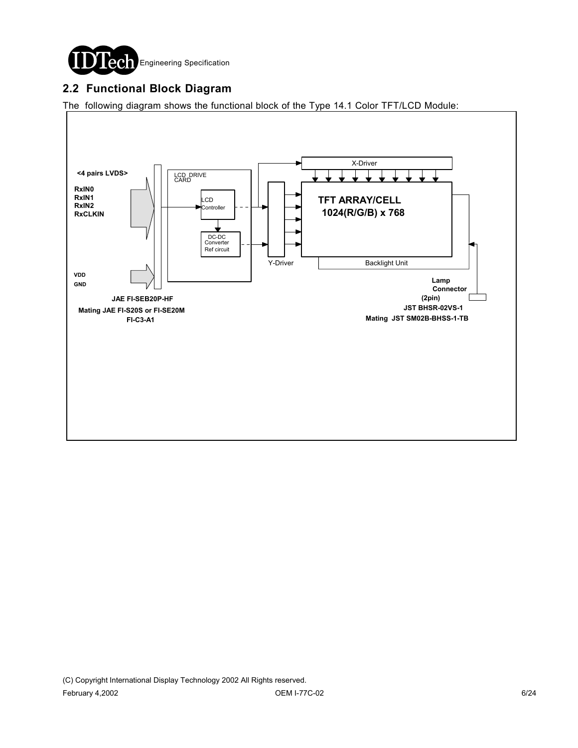

### **2.2 Functional Block Diagram**

The following diagram shows the functional block of the Type 14.1 Color TFT/LCD Module:

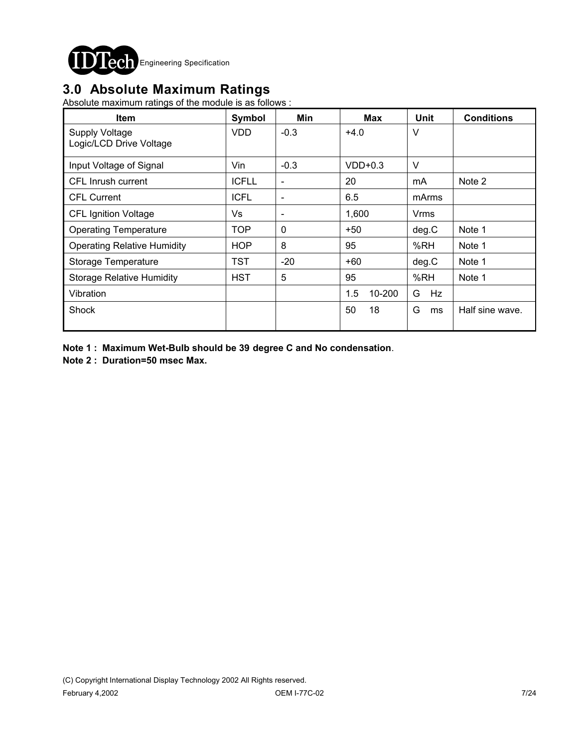

## **3.0 Absolute Maximum Ratings**

Absolute maximum ratings of the module is as follows :

| <b>Item</b>                                      | Symbol       | Min                      | <b>Max</b>    | <b>Unit</b> | <b>Conditions</b> |
|--------------------------------------------------|--------------|--------------------------|---------------|-------------|-------------------|
| <b>Supply Voltage</b><br>Logic/LCD Drive Voltage | <b>VDD</b>   | $-0.3$                   | $+4.0$        | V           |                   |
| Input Voltage of Signal                          | Vin          | $-0.3$                   | $VDD+0.3$     | $\vee$      |                   |
| CFL Inrush current                               | <b>ICFLL</b> | $\overline{\phantom{a}}$ | 20            | mA          | Note 2            |
| <b>CFL Current</b>                               | <b>ICFL</b>  | $\overline{\phantom{a}}$ | 6.5           | mArms       |                   |
| <b>CFL Ignition Voltage</b>                      | Vs           | $\overline{\phantom{a}}$ | 1,600         | Vrms        |                   |
| <b>Operating Temperature</b>                     | TOP          | 0                        | $+50$         | deg.C       | Note 1            |
| <b>Operating Relative Humidity</b>               | <b>HOP</b>   | 8                        | 95            | %RH         | Note 1            |
| Storage Temperature                              | TST          | $-20$                    | $+60$         | deg.C       | Note 1            |
| <b>Storage Relative Humidity</b>                 | <b>HST</b>   | 5                        | 95            | %RH         | Note 1            |
| Vibration                                        |              |                          | 1.5<br>10-200 | G<br>Hz     |                   |
| Shock                                            |              |                          | 50<br>18      | G<br>ms     | Half sine wave.   |

**Note 1 : Maximum Wet-Bulb should be 39 degree C and No condensation**.

**Note 2 : Duration=50 msec Max.**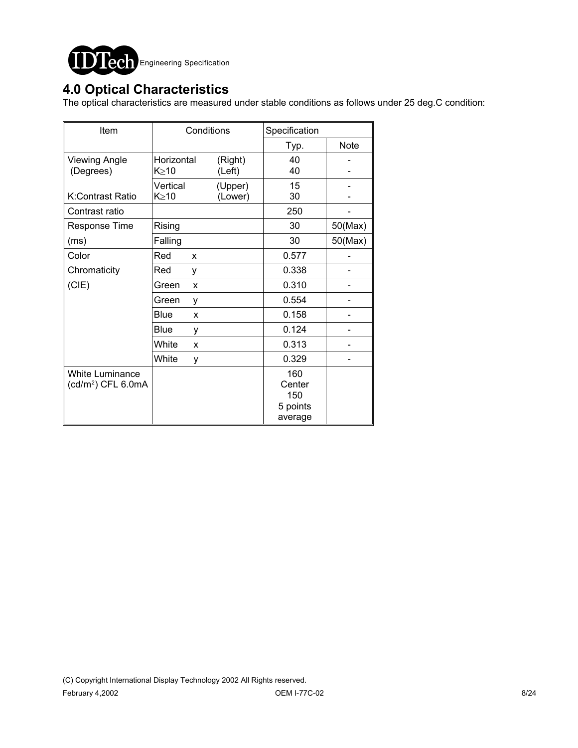

### **4.0 Optical Characteristics**

The optical characteristics are measured under stable conditions as follows under 25 deg.C condition:

| Item                                                     | Conditions              |                    | Specification                               |             |
|----------------------------------------------------------|-------------------------|--------------------|---------------------------------------------|-------------|
|                                                          |                         |                    | Typ.                                        | <b>Note</b> |
| <b>Viewing Angle</b><br>(Degrees)                        | Horizontal<br>K > 10    | (Right)<br>(Left)  | 40<br>40                                    |             |
| K:Contrast Ratio                                         | Vertical<br>$K \geq 10$ | (Upper)<br>(Lower) | 15<br>30                                    |             |
| Contrast ratio                                           |                         |                    | 250                                         |             |
| <b>Response Time</b>                                     | Rising                  |                    | 30                                          | 50(Max)     |
| (ms)                                                     | Falling                 |                    | 30                                          | 50(Max)     |
| Color                                                    | Red<br>X                |                    | 0.577                                       |             |
| Chromaticity                                             | Red<br>y                |                    | 0.338                                       |             |
| (CIE)                                                    | Green<br>X              |                    | 0.310                                       |             |
|                                                          | Green<br>у              |                    | 0.554                                       |             |
|                                                          | Blue<br>X               |                    | 0.158                                       |             |
|                                                          | Blue<br>у               |                    | 0.124                                       |             |
|                                                          | White<br>X              |                    | 0.313                                       |             |
|                                                          | White<br>у              |                    | 0.329                                       |             |
| <b>White Luminance</b><br>(cd/m <sup>2</sup> ) CFL 6.0mA |                         |                    | 160<br>Center<br>150<br>5 points<br>average |             |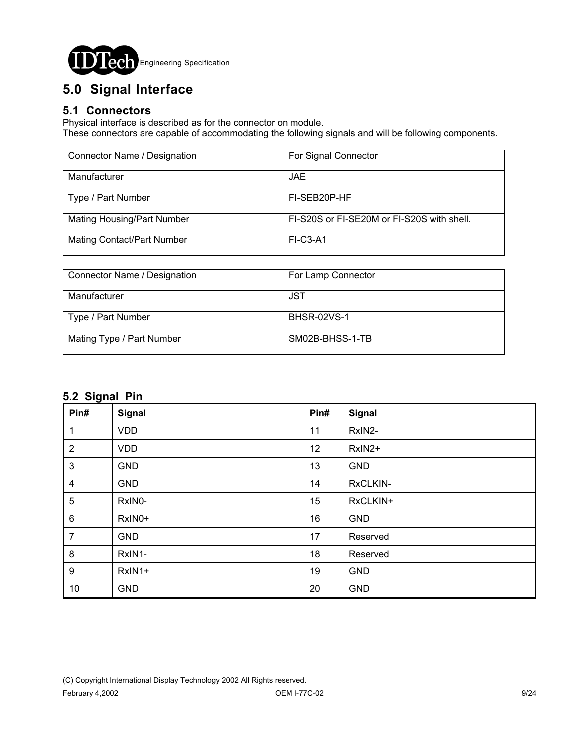

# **5.0 Signal Interface**

#### **5.1 Connectors**

Physical interface is described as for the connector on module.

These connectors are capable of accommodating the following signals and will be following components.

| Connector Name / Designation      | For Signal Connector                       |
|-----------------------------------|--------------------------------------------|
| Manufacturer                      | <b>JAE</b>                                 |
| Type / Part Number                | FI-SEB20P-HF                               |
| <b>Mating Housing/Part Number</b> | FI-S20S or FI-SE20M or FI-S20S with shell. |
| <b>Mating Contact/Part Number</b> | $FI-C3-A1$                                 |

| Connector Name / Designation | For Lamp Connector |
|------------------------------|--------------------|
|                              |                    |
| Manufacturer                 | JST                |
|                              |                    |
| Type / Part Number           | <b>BHSR-02VS-1</b> |
|                              |                    |
| Mating Type / Part Number    | SM02B-BHSS-1-TB    |
|                              |                    |
|                              |                    |

### **5.2 Signal Pin**

| ∼<br>Pin#        | Signal     | Pin# | Signal     |
|------------------|------------|------|------------|
| 1                | <b>VDD</b> | 11   | RxIN2-     |
| $\overline{2}$   | <b>VDD</b> | 12   | RxIN2+     |
| $\mathbf{3}$     | <b>GND</b> | 13   | <b>GND</b> |
| 4                | <b>GND</b> | 14   | RxCLKIN-   |
| $\sqrt{5}$       | RxIN0-     | 15   | RxCLKIN+   |
| $\,6$            | RxIN0+     | 16   | <b>GND</b> |
| $\overline{7}$   | <b>GND</b> | 17   | Reserved   |
| $\bf 8$          | RxIN1-     | 18   | Reserved   |
| $\boldsymbol{9}$ | RxIN1+     | 19   | <b>GND</b> |
| 10               | <b>GND</b> | 20   | <b>GND</b> |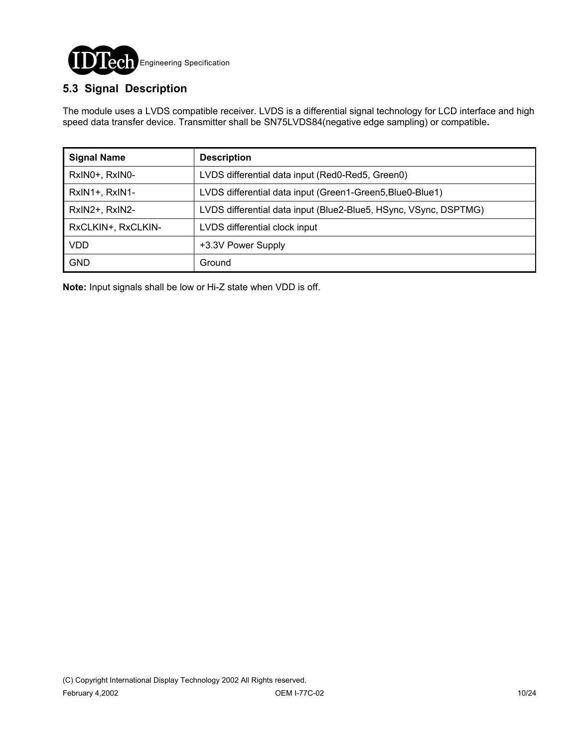

### **5.3 Signal Description**

The module uses a LVDS compatible receiver. LVDS is a differential signal technology for LCD interface and high speed data transfer device. Transmitter shall be SN75LVDS84(negative edge sampling) or compatible**.**

| <b>Signal Name</b> | <b>Description</b>                                               |
|--------------------|------------------------------------------------------------------|
| RxIN0+, RxIN0-     | LVDS differential data input (Red0-Red5, Green0)                 |
| RxIN1+, RxIN1-     | LVDS differential data input (Green1-Green5, Blue0-Blue1)        |
| RxIN2+, RxIN2-     | LVDS differential data input (Blue2-Blue5, HSync, VSync, DSPTMG) |
| RxCLKIN+, RxCLKIN- | LVDS differential clock input                                    |
| <b>VDD</b>         | +3.3V Power Supply                                               |
| <b>GND</b>         | Ground                                                           |

**Note:** Input signals shall be low or Hi-Z state when VDD is off.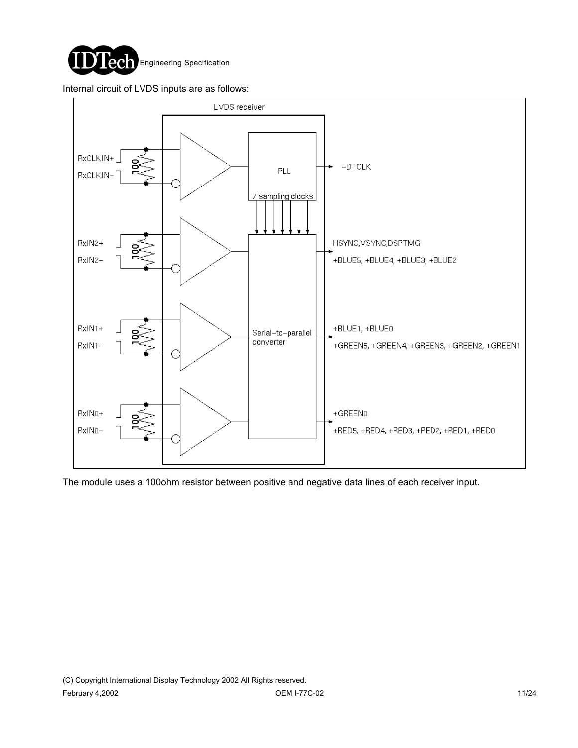

Internal circuit of LVDS inputs are as follows:



The module uses a 100ohm resistor between positive and negative data lines of each receiver input.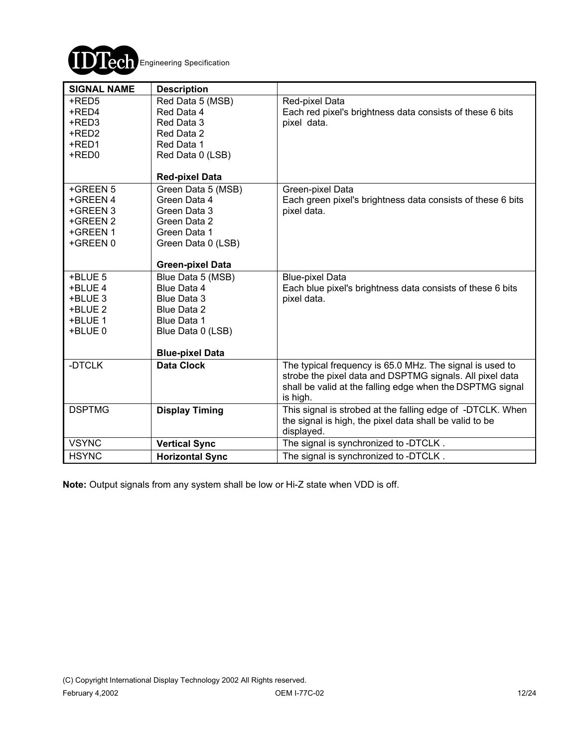

| <b>SIGNAL NAME</b>                                                   | <b>Description</b>                                                                                                                  |                                                                                                                                                                                               |
|----------------------------------------------------------------------|-------------------------------------------------------------------------------------------------------------------------------------|-----------------------------------------------------------------------------------------------------------------------------------------------------------------------------------------------|
| +RED5<br>+RED4<br>+RED3<br>+RED2<br>+RED1<br>+RED0                   | Red Data 5 (MSB)<br>Red Data 4<br>Red Data 3<br>Red Data 2<br>Red Data 1<br>Red Data 0 (LSB)                                        | Red-pixel Data<br>Each red pixel's brightness data consists of these 6 bits<br>pixel data.                                                                                                    |
|                                                                      | <b>Red-pixel Data</b>                                                                                                               |                                                                                                                                                                                               |
| +GREEN 5<br>+GREEN 4<br>+GREEN 3<br>+GREEN 2<br>+GREEN 1<br>+GREEN 0 | Green Data 5 (MSB)<br>Green Data 4<br>Green Data 3<br>Green Data 2<br>Green Data 1<br>Green Data 0 (LSB)<br><b>Green-pixel Data</b> | Green-pixel Data<br>Each green pixel's brightness data consists of these 6 bits<br>pixel data.                                                                                                |
| +BLUE 5                                                              | Blue Data 5 (MSB)                                                                                                                   | <b>Blue-pixel Data</b>                                                                                                                                                                        |
| +BLUE 4                                                              | Blue Data 4                                                                                                                         | Each blue pixel's brightness data consists of these 6 bits                                                                                                                                    |
| +BLUE 3<br>+BLUE 2                                                   | Blue Data 3<br>Blue Data 2                                                                                                          | pixel data.                                                                                                                                                                                   |
| +BLUE 1                                                              | Blue Data 1                                                                                                                         |                                                                                                                                                                                               |
| +BLUE 0                                                              | Blue Data 0 (LSB)                                                                                                                   |                                                                                                                                                                                               |
|                                                                      | <b>Blue-pixel Data</b>                                                                                                              |                                                                                                                                                                                               |
| -DTCLK                                                               | <b>Data Clock</b>                                                                                                                   | The typical frequency is 65.0 MHz. The signal is used to<br>strobe the pixel data and DSPTMG signals. All pixel data<br>shall be valid at the falling edge when the DSPTMG signal<br>is high. |
| <b>DSPTMG</b>                                                        | <b>Display Timing</b>                                                                                                               | This signal is strobed at the falling edge of -DTCLK. When<br>the signal is high, the pixel data shall be valid to be<br>displayed.                                                           |
| <b>VSYNC</b>                                                         | <b>Vertical Sync</b>                                                                                                                | The signal is synchronized to -DTCLK.                                                                                                                                                         |
| <b>HSYNC</b>                                                         | <b>Horizontal Sync</b>                                                                                                              | The signal is synchronized to -DTCLK.                                                                                                                                                         |

**Note:** Output signals from any system shall be low or Hi-Z state when VDD is off.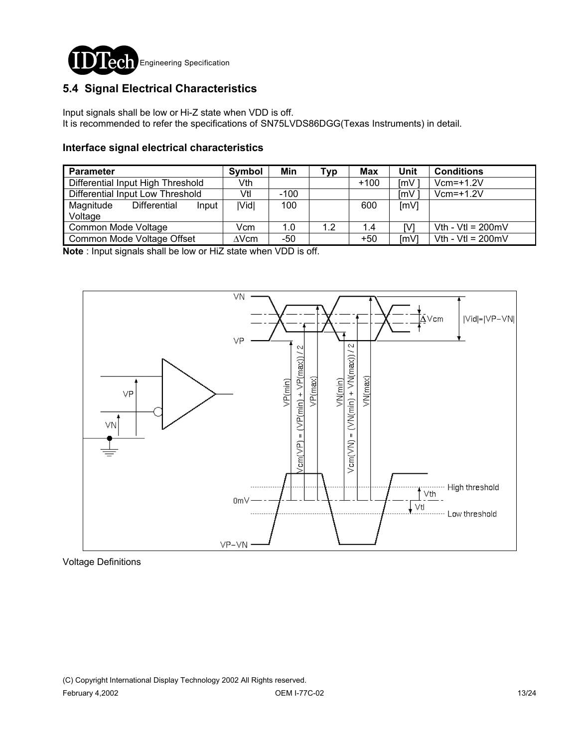

### **5.4 Signal Electrical Characteristics**

Input signals shall be low or Hi-Z state when VDD is off. It is recommended to refer the specifications of SN75LVDS86DGG(Texas Instruments) in detail.

#### **Interface signal electrical characteristics**

| <b>Parameter</b>                  |                            | Symbol | Min          | Typ | Max    | Unit  | <b>Conditions</b>           |                             |
|-----------------------------------|----------------------------|--------|--------------|-----|--------|-------|-----------------------------|-----------------------------|
| Differential Input High Threshold |                            | Vth    |              |     | $+100$ | ImV   | $Vcm=+1.2V$                 |                             |
| Differential Input Low Threshold  |                            | Vtl    | $-100$       |     |        | ImV   | $Vcm=+1.2V$                 |                             |
| Magnitude<br>Voltage              | Differential               | Input  | <b>IVidl</b> | 100 |        | 600   | [mV]                        |                             |
| Common Mode Voltage               |                            | Vcm    | 1.0          | 1.2 | 1.4    | IV.   | Vth - Vtl = $200 \text{mV}$ |                             |
|                                   | Common Mode Voltage Offset |        | $\Delta$ Vcm | -50 |        | $+50$ | $\text{Im}V$                | Vth - Vtl = $200 \text{mV}$ |

**Note** : Input signals shall be low or HiZ state when VDD is off.



Voltage Definitions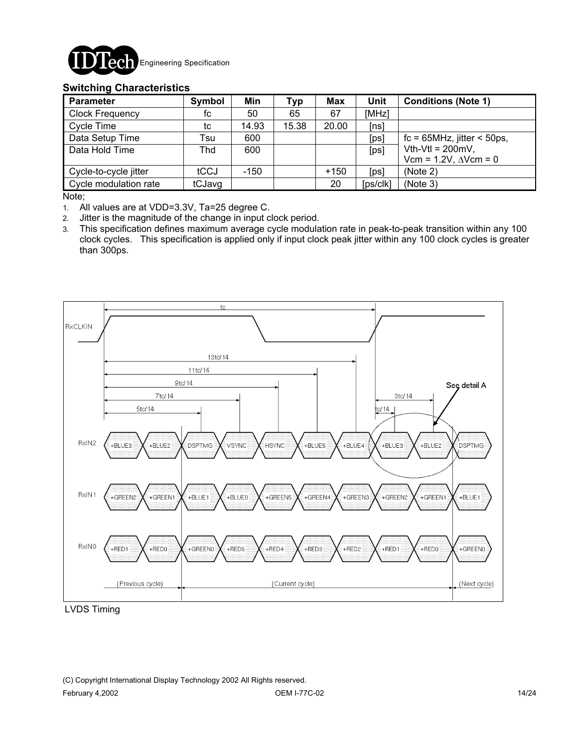

#### **Switching Characteristics**

| <b>Parameter</b>       | Symbol | Min    | <b>Typ</b> | <b>Max</b> | Unit     | <b>Conditions (Note 1)</b>          |
|------------------------|--------|--------|------------|------------|----------|-------------------------------------|
| <b>Clock Frequency</b> | fc     | 50     | 65         | 67         | [MHz]    |                                     |
| Cycle Time             | tc     | 14.93  | 15.38      | 20.00      | [ns]     |                                     |
| Data Setup Time        | Tsu    | 600    |            |            | [ps]     | $fc = 65 MHz$ , jitter < 50ps,      |
| Data Hold Time         | Thd    | 600    |            |            | [ps]     | Vth-Vtl = $200mV$ ,                 |
|                        |        |        |            |            |          | Vcm = $1.2V$ , $\triangle V$ cm = 0 |
| Cycle-to-cycle jitter  | tCCJ   | $-150$ |            | $+150$     | [ps]     | (Note 2)                            |
| Cycle modulation rate  | tCJavg |        |            | 20         | [ps/clk] | (Note 3)                            |

Note;

1. All values are at VDD=3.3V, Ta=25 degree C.

2. Jitter is the magnitude of the change in input clock period.

3. This specification defines maximum average cycle modulation rate in peak-to-peak transition within any 100 clock cycles. This specification is applied only if input clock peak jitter within any 100 clock cycles is greater than 300ps.



LVDS Timing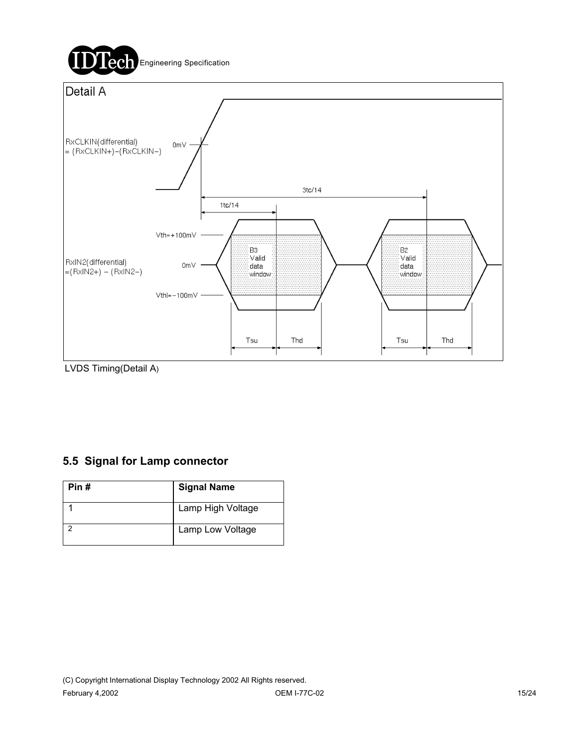

LVDS Timing(Detail A)

### **5.5 Signal for Lamp connector**

| Pin # | <b>Signal Name</b> |
|-------|--------------------|
|       | Lamp High Voltage  |
|       | Lamp Low Voltage   |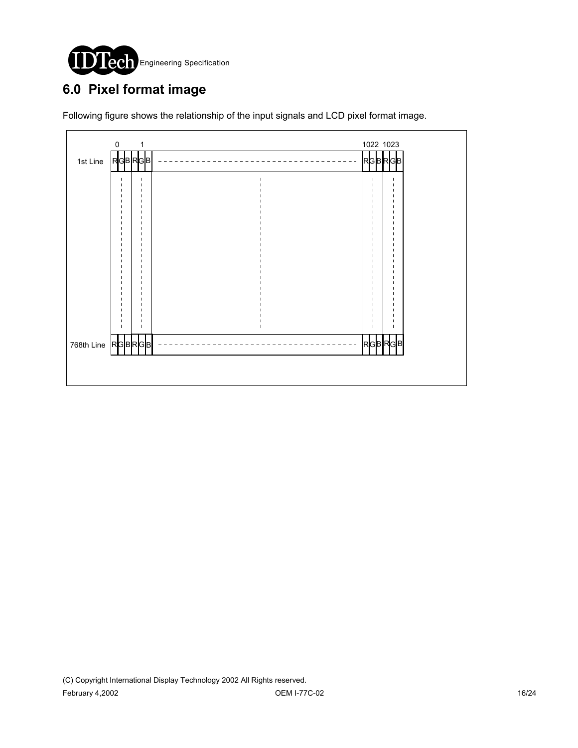

# **6.0 Pixel format image**

Following figure shows the relationship of the input signals and LCD pixel format image.

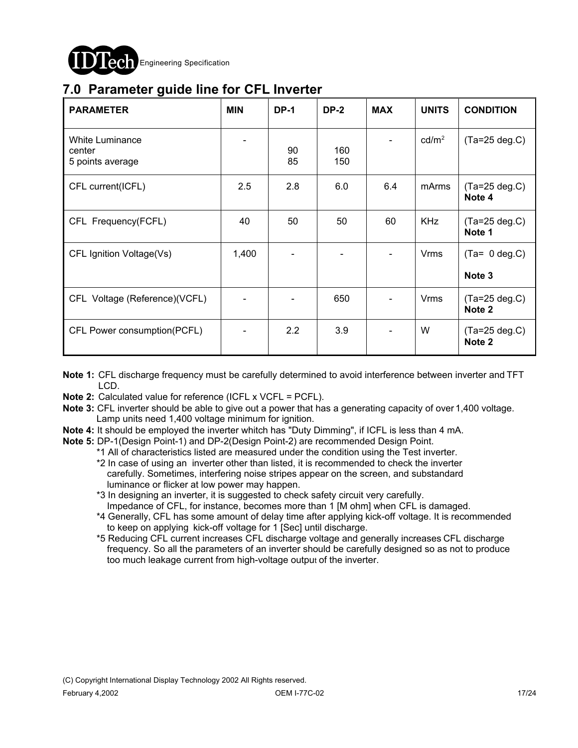

## **7.0 Parameter guide line for CFL Inverter**

| <b>PARAMETER</b>                                     | <b>MIN</b> | <b>DP-1</b>      | <b>DP-2</b> | <b>MAX</b> | <b>UNITS</b>      | <b>CONDITION</b>                  |
|------------------------------------------------------|------------|------------------|-------------|------------|-------------------|-----------------------------------|
| <b>White Luminance</b><br>center<br>5 points average |            | 90<br>85         | 160<br>150  |            | cd/m <sup>2</sup> | $(Ta=25 deg.C)$                   |
| CFL current(ICFL)                                    | 2.5        | 2.8              | 6.0         | 6.4        | mArms             | $(Ta=25 deg.C)$<br>Note 4         |
| CFL Frequency(FCFL)                                  | 40         | 50               | 50          | 60         | <b>KHz</b>        | $(Ta=25 \text{ deg.C})$<br>Note 1 |
| CFL Ignition Voltage(Vs)                             | 1,400      |                  |             |            | <b>Vrms</b>       | $(Ta= 0 deg.C)$<br>Note 3         |
| CFL Voltage (Reference)(VCFL)                        |            |                  | 650         |            | Vrms              | $(Ta=25 \text{ deg.C})$<br>Note 2 |
| CFL Power consumption(PCFL)                          |            | $2.2\phantom{0}$ | 3.9         |            | W                 | $(Ta=25 deg.C)$<br>Note 2         |

- **Note 1:** CFL discharge frequency must be carefully determined to avoid interference between inverter and TFT LCD.
- **Note 2:** Calculated value for reference (ICFL x VCFL = PCFL).
- **Note 3:** CFL inverter should be able to give out a power that has a generating capacity of over 1,400 voltage. Lamp units need 1,400 voltage minimum for ignition.
- **Note 4:** It should be employed the inverter whitch has "Duty Dimming", if ICFL is less than 4 mA.
- **Note 5:** DP-1(Design Point-1) and DP-2(Design Point-2) are recommended Design Point.

\*1 All of characteristics listed are measured under the condition using the Test inverter.

- \*2 In case of using an inverter other than listed, it is recommended to check the inverter carefully. Sometimes, interfering noise stripes appear on the screen, and substandard luminance or flicker at low power may happen.
- \*3 In designing an inverter, it is suggested to check safety circuit very carefully. Impedance of CFL, for instance, becomes more than 1 [M ohm] when CFL is damaged.
- \*4 Generally, CFL has some amount of delay time after applying kick-off voltage. It is recommended to keep on applying kick-off voltage for 1 [Sec] until discharge.
- \*5 Reducing CFL current increases CFL discharge voltage and generally increases CFL discharge frequency. So all the parameters of an inverter should be carefully designed so as not to produce too much leakage current from high-voltage output of the inverter.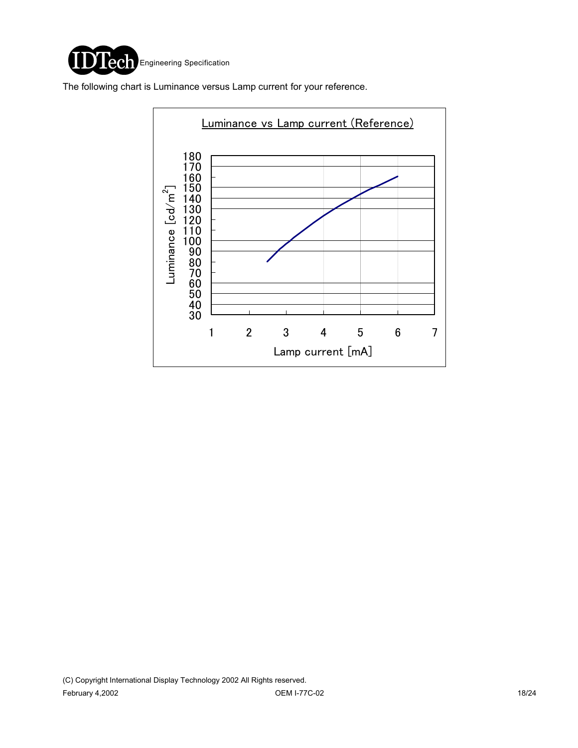

The following chart is Luminance versus Lamp current for your reference.

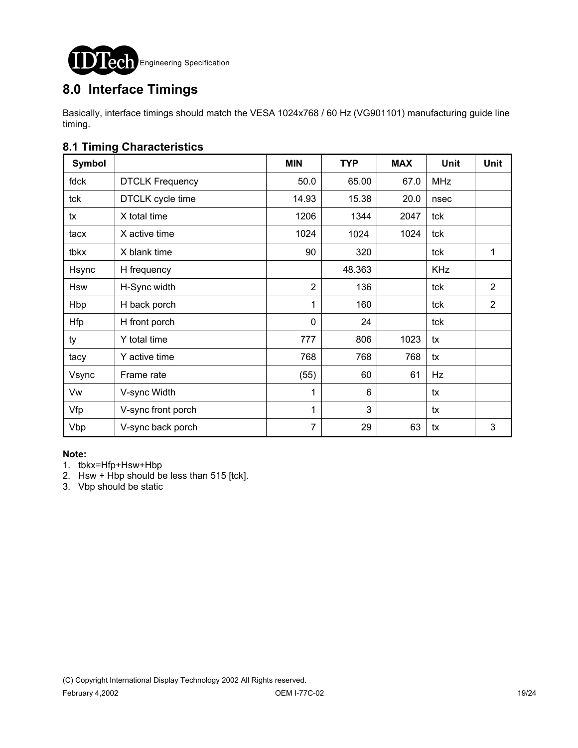

## **8.0 Interface Timings**

Basically, interface timings should match the VESA 1024x768 / 60 Hz (VG901101) manufacturing guide line timing.

### **8.1 Timing Characteristics**

| <b>Symbol</b> |                        | <b>MIN</b>     | <b>TYP</b> | <b>MAX</b> | <b>Unit</b> | <b>Unit</b>    |
|---------------|------------------------|----------------|------------|------------|-------------|----------------|
| fdck          | <b>DTCLK Frequency</b> | 50.0           | 65.00      | 67.0       | <b>MHz</b>  |                |
| tck           | DTCLK cycle time       | 14.93          | 15.38      | 20.0       | nsec        |                |
| tx            | X total time           | 1206           | 1344       | 2047       | tck         |                |
| tacx          | X active time          | 1024           | 1024       | 1024       | tck         |                |
| tbkx          | X blank time           | 90             | 320        |            | tck         | 1              |
| Hsync         | H frequency            |                | 48.363     |            | <b>KHz</b>  |                |
| <b>Hsw</b>    | H-Sync width           | $\overline{2}$ | 136        |            | tck         | $\overline{2}$ |
| Hbp           | H back porch           | 1              | 160        |            | tck         | $\overline{2}$ |
| <b>Hfp</b>    | H front porch          | $\mathbf 0$    | 24         |            | tck         |                |
| ty            | Y total time           | 777            | 806        | 1023       | tx          |                |
| tacy          | Y active time          | 768            | 768        | 768        | tx          |                |
| Vsync         | Frame rate             | (55)           | 60         | 61         | Hz          |                |
| Vw            | V-sync Width           | $\mathbf{1}$   | 6          |            | tx          |                |
| Vfp           | V-sync front porch     | 1              | 3          |            | tx          |                |
| Vbp           | V-sync back porch      | $\overline{7}$ | 29         | 63         | tx          | 3              |

#### **Note:**

- 1. tbkx=Hfp+Hsw+Hbp
- 2. Hsw + Hbp should be less than  $515$  [tck].
- 3. Vbp should be static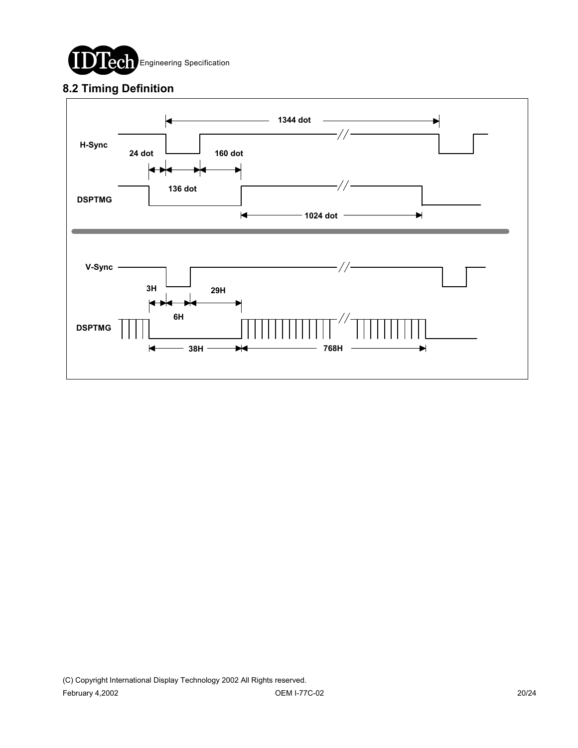

### **8.2 Timing Definition**

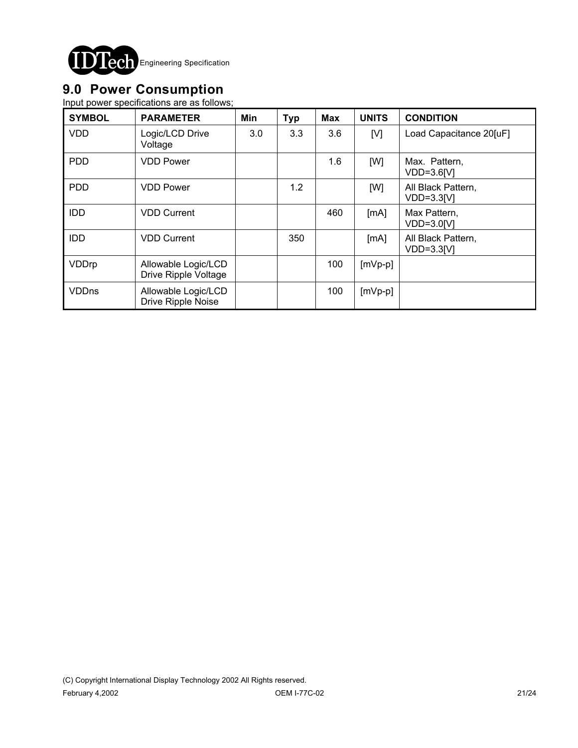

## **9.0 Power Consumption**

Input power specifications are as follows;

| <b>SYMBOL</b> | <b>PARAMETER</b>                            | Min | <b>Typ</b> | <b>Max</b> | <b>UNITS</b> | <b>CONDITION</b>                   |
|---------------|---------------------------------------------|-----|------------|------------|--------------|------------------------------------|
| <b>VDD</b>    | Logic/LCD Drive<br>Voltage                  | 3.0 | 3.3        | 3.6        | [V]          | Load Capacitance 20[uF]            |
| <b>PDD</b>    | <b>VDD Power</b>                            |     |            | 1.6        | [W]          | Max. Pattern,<br>$VDD=3.6[V]$      |
| <b>PDD</b>    | <b>VDD Power</b>                            |     | 1.2        |            | [W]          | All Black Pattern,<br>$VDD=3.3[V]$ |
| <b>IDD</b>    | <b>VDD Current</b>                          |     |            | 460        | [mA]         | Max Pattern,<br>$VDD=3.0[V]$       |
| <b>IDD</b>    | <b>VDD Current</b>                          |     | 350        |            | [mA]         | All Black Pattern,<br>$VDD=3.3[V]$ |
| VDDrp         | Allowable Logic/LCD<br>Drive Ripple Voltage |     |            | 100        | $[mVp-p]$    |                                    |
| <b>VDDns</b>  | Allowable Logic/LCD<br>Drive Ripple Noise   |     |            | 100        | $[mVp-p]$    |                                    |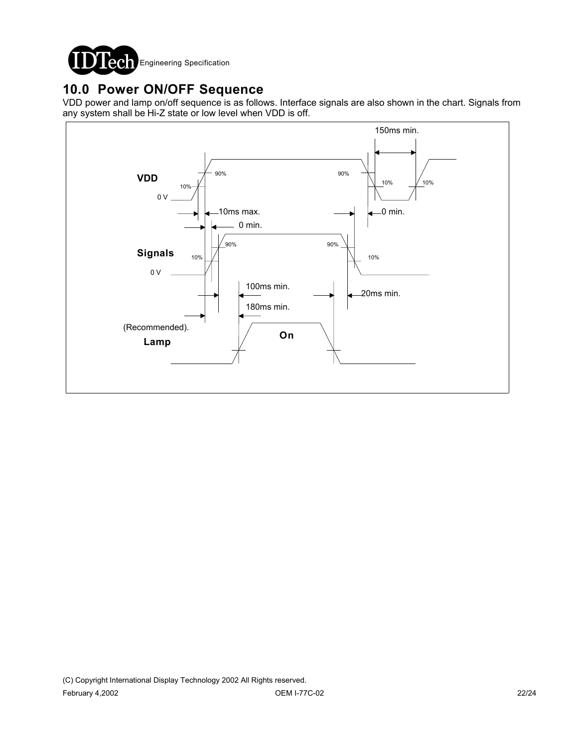

### **10.0 Power ON/OFF Sequence**

VDD power and lamp on/off sequence is as follows. Interface signals are also shown in the chart. Signals from any system shall be Hi-Z state or low level when VDD is off.

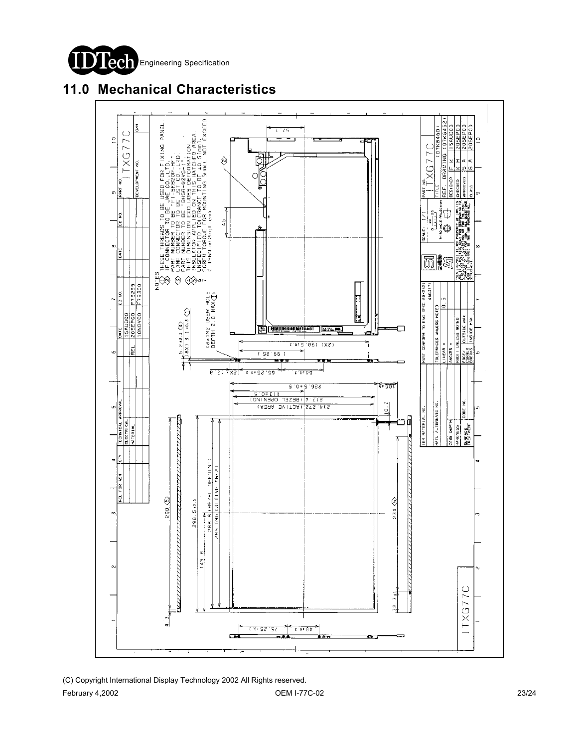

## **11.0 Mechanical Characteristics**